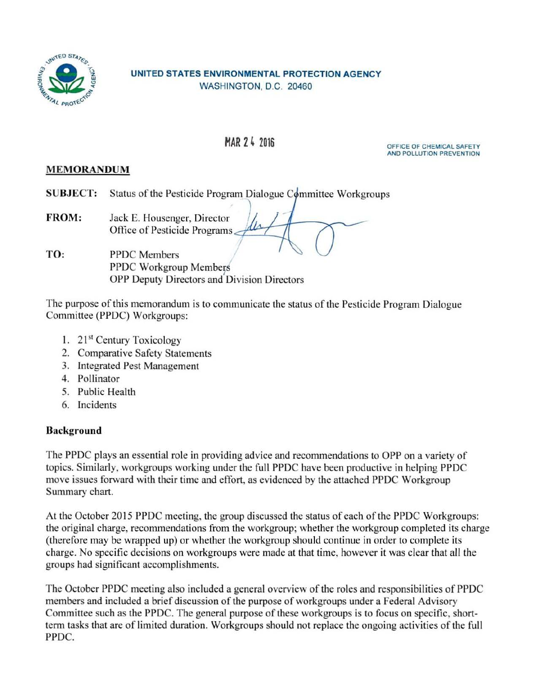

## UNITED STATES ENVIRONMENTAL PROTECTION AGENCY WASHINGTON, D.C. 20460

MAR 2 4 2016 CHEMICAL SAFETY AND POLLUTION PREVENTION

## MEMORANDUM

SUBJECT: Status of the Pesticide Program Dialogue Committee Workgroups

FROM: Jack E. Housenger, Director<br>Office of Pesticide Programs

TO: PPDC Members PPDC Workgroup Members OPP Deputy Directors and Division Directors

The purpose of this memorandum is to communicate the status of the Pesticide Program Dialogue Committee (PPDC) Workgroups:

- l. 21st Century Toxicology
- 2. Comparative Safety Statements
- 3. Integrated Pest Management
- 4. Pollinator
- 5. Public Health
- 6. Incidents

# Background

The PPDC plays an essential role in providing advice and recommendations to OPP on a variety of topics. Similarly, workgroups working under the full PPDC have been productive in helping PPDC move issues forward with their time and effort, as evidenced by the attached PPDC Workgroup Summary chart.

At the October 2015 PPDC meeting, the group discussed the status of each of the PPDC Workgroups: the original charge, recommendations from the workgroup; whether the workgroup completed its charge (therefore may be wrapped up) or whether the workgroup should continue in order to complete its charge. No specific decisions on workgroups were made at that time, however it was clear that all the groups had significant accomplishments.

The October PPDC meeting also included a general overview of the roles and responsibilities of PPDC members and included a brief discussion of the purpose of workgroups under a Federal Advisory Committee such as the PPDC. The general purpose of these workgroups is to focus on specific, shortterm tasks that are of limited duration. Workgroups should not replace the ongoing activities of the full PPDC.